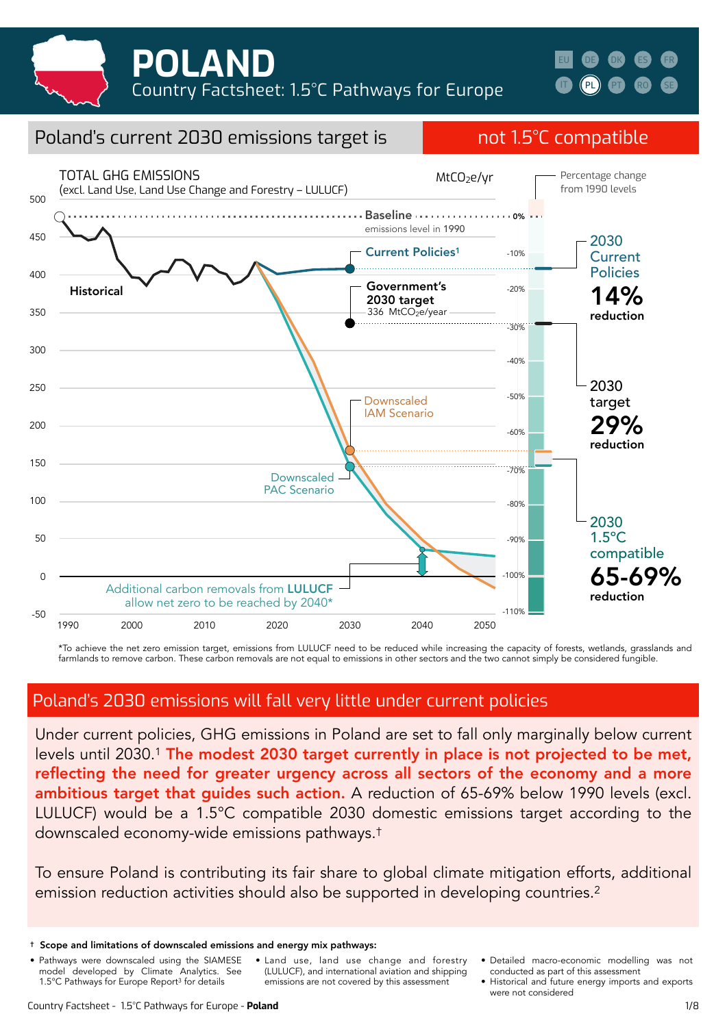



## Poland's current 2030 emissions target is not 1.5°C compatible



\*To achieve the net zero emission target, emissions from LULUCF need to be reduced while increasing the capacity of forests, wetlands, grasslands and farmlands to remove carbon. These carbon removals are not equal to emissions in other sectors and the two cannot simply be considered fungible.

### Poland's 2030 emissions will fall very little under current policies

Under current policies, GHG emissions in Poland are set to fall only marginally below current levels until 2030.1 The modest 2030 target currently in place is not projected to be met, reflecting the need for greater urgency across all sectors of the economy and a more ambitious target that quides such action. A reduction of 65-69% below 1990 levels (excl. LULUCF) would be a 1.5°C compatible 2030 domestic emissions target according to the downscaled economy-wide emissions pathways.†

To ensure Poland is contributing its fair share to global climate mitigation efforts, additional emission reduction activities should also be supported in developing countries.2

- Pathways were downscaled using the SIAMESE model developed by Climate Analytics. See 1.5°C Pathways for Europe Report3 for details
- Land use, land use change and forestry (LULUCF), and international aviation and shipping emissions are not covered by this assessment
- Detailed macro-economic modelling was not conducted as part of this assessment
- Historical and future energy imports and exports were not considered

<sup>†</sup> Scope and limitations of downscaled emissions and energy mix pathways: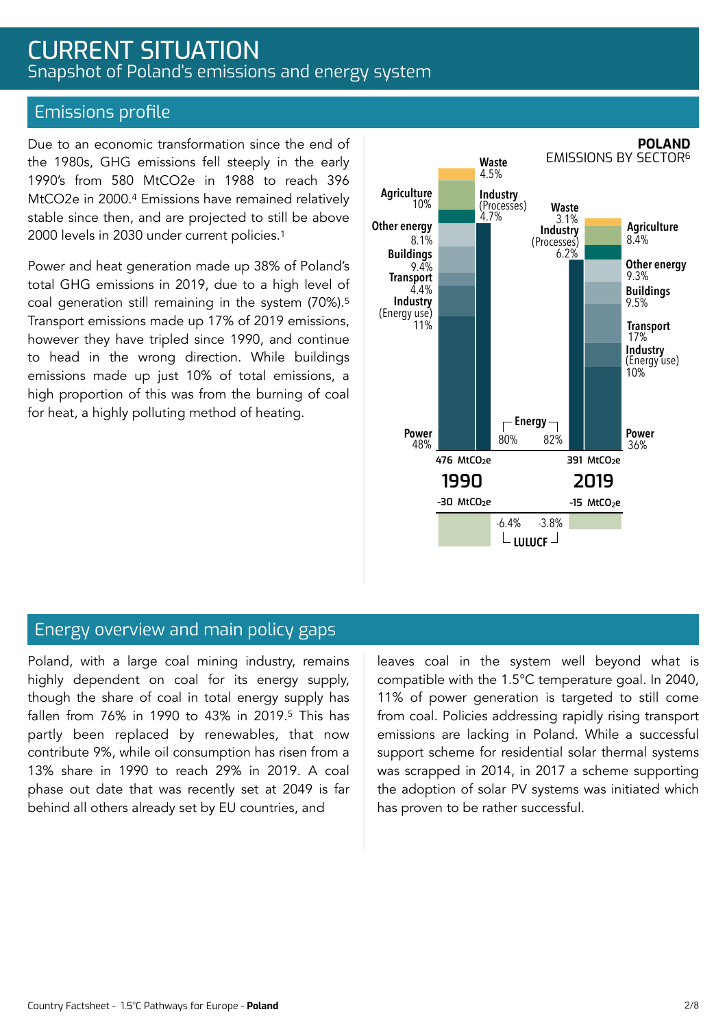## CURRENT SITUATION Snapshot of Poland's emissions and energy system

### Emissions profile

Due to an economic transformation since the end of the 1980s, GHG emissions fell steeply in the early 1990's from 580 MtCO2e in 1988 to reach 396 MtCO2e in 2000.4 Emissions have remained relatively stable since then, and are projected to still be above 2000 levels in 2030 under current policies.1

Power and heat generation made up 38% of Poland's total GHG emissions in 2019, due to a high level of coal generation still remaining in the system (70%).5 Transport emissions made up 17% of 2019 emissions, however they have tripled since 1990, and continue to head in the wrong direction. While buildings emissions made up just 10% of total emissions, a high proportion of this was from the burning of coal for heat, a highly polluting method of heating.



### Energy overview and main policy gaps

Poland, with a large coal mining industry, remains highly dependent on coal for its energy supply, though the share of coal in total energy supply has fallen from 76% in 1990 to 43% in 2019.5 This has partly been replaced by renewables, that now contribute 9%, while oil consumption has risen from a 13% share in 1990 to reach 29% in 2019. A coal phase out date that was recently set at 2049 is far behind all others already set by EU countries, and

leaves coal in the system well beyond what is compatible with the 1.5°C temperature goal. In 2040, 11% of power generation is targeted to still come from coal. Policies addressing rapidly rising transport emissions are lacking in Poland. While a successful support scheme for residential solar thermal systems was scrapped in 2014, in 2017 a scheme supporting the adoption of solar PV systems was initiated which has proven to be rather successful.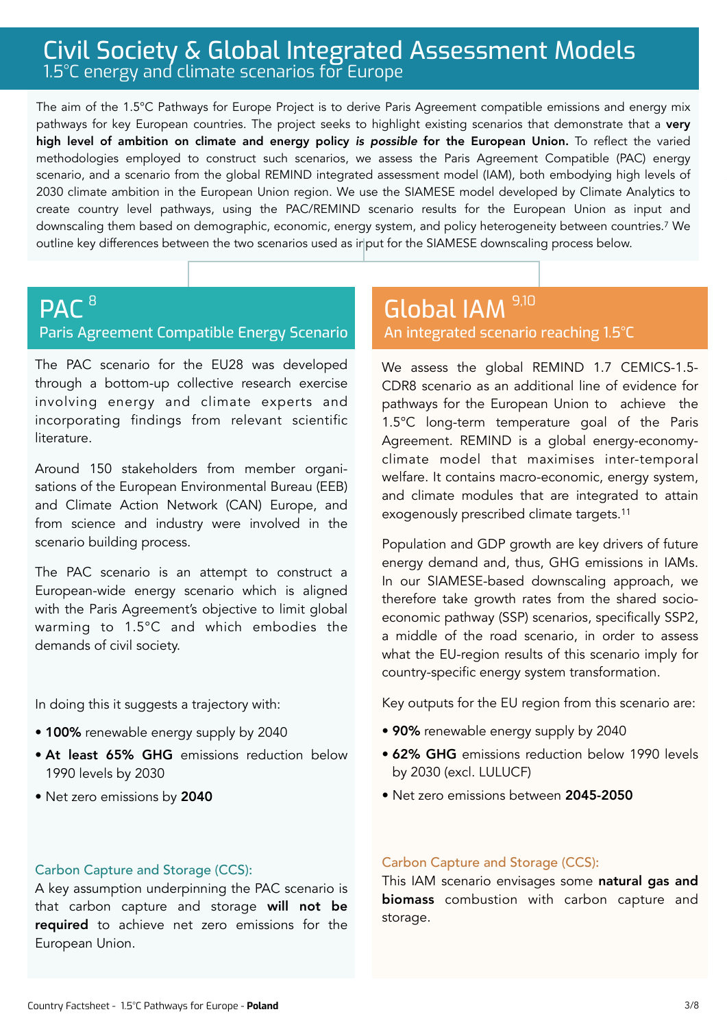## Civil Society & Global Integrated Assessment Models 1.5°C energy and climate scenarios for Europe

The aim of the 1.5°C Pathways for Europe Project is to derive Paris Agreement compatible emissions and energy mix pathways for key European countries. The project seeks to highlight existing scenarios that demonstrate that a very high level of ambition on climate and energy policy *is possible* for the European Union. To reflect the varied methodologies employed to construct such scenarios, we assess the Paris Agreement Compatible (PAC) energy scenario, and a scenario from the global REMIND integrated assessment model (IAM), both embodying high levels of 2030 climate ambition in the European Union region. We use the SIAMESE model developed by Climate Analytics to create country level pathways, using the PAC/REMIND scenario results for the European Union as input and downscaling them based on demographic, economic, energy system, and policy heterogeneity between countries.7 We outline key differences between the two scenarios used as input for the SIAMESE downscaling process below.

#### **PAC<sup>8</sup>** Paris Agreement Compatible Energy Scenario 8 9,100 Million December 1988 1990 Million December 1990 Million December 1990 Million December 1990

The PAC scenario for the EU28 was developed through a bottom-up collective research exercise involving energy and climate experts and incorporating findings from relevant scientific literature.

Around 150 stakeholders from member organisations of the European Environmental Bureau (EEB) and Climate Action Network (CAN) Europe, and from science and industry were involved in the scenario building process.

The PAC scenario is an attempt to construct a European-wide energy scenario which is aligned with the Paris Agreement's objective to limit global warming to 1.5°C and which embodies the demands of civil society.

In doing this it suggests a trajectory with:

- 100% renewable energy supply by 2040
- At least 65% GHG emissions reduction below 1990 levels by 2030
- Net zero emissions by 2040

# An integrated scenario reaching 1.5°C

We assess the global REMIND 1.7 CEMICS-1.5- CDR8 scenario as an additional line of evidence for pathways for the European Union to achieve the 1.5°C long-term temperature goal of the Paris Agreement. REMIND is a global energy-economyclimate model that maximises inter-temporal welfare. It contains macro-economic, energy system, and climate modules that are integrated to attain exogenously prescribed climate targets.11

Population and GDP growth are key drivers of future energy demand and, thus, GHG emissions in IAMs. In our SIAMESE-based downscaling approach, we therefore take growth rates from the shared socioeconomic pathway (SSP) scenarios, specifically SSP2, a middle of the road scenario, in order to assess what the EU-region results of this scenario imply for country-specific energy system transformation.

Key outputs for the EU region from this scenario are:

- 90% renewable energy supply by 2040
- 62% GHG emissions reduction below 1990 levels by 2030 (excl. LULUCF)
- Net zero emissions between 2045-2050

### Carbon Capture and Storage (CCS):

A key assumption underpinning the PAC scenario is that carbon capture and storage will not be required to achieve net zero emissions for the European Union.

### Carbon Capture and Storage (CCS):

This IAM scenario envisages some natural gas and biomass combustion with carbon capture and storage.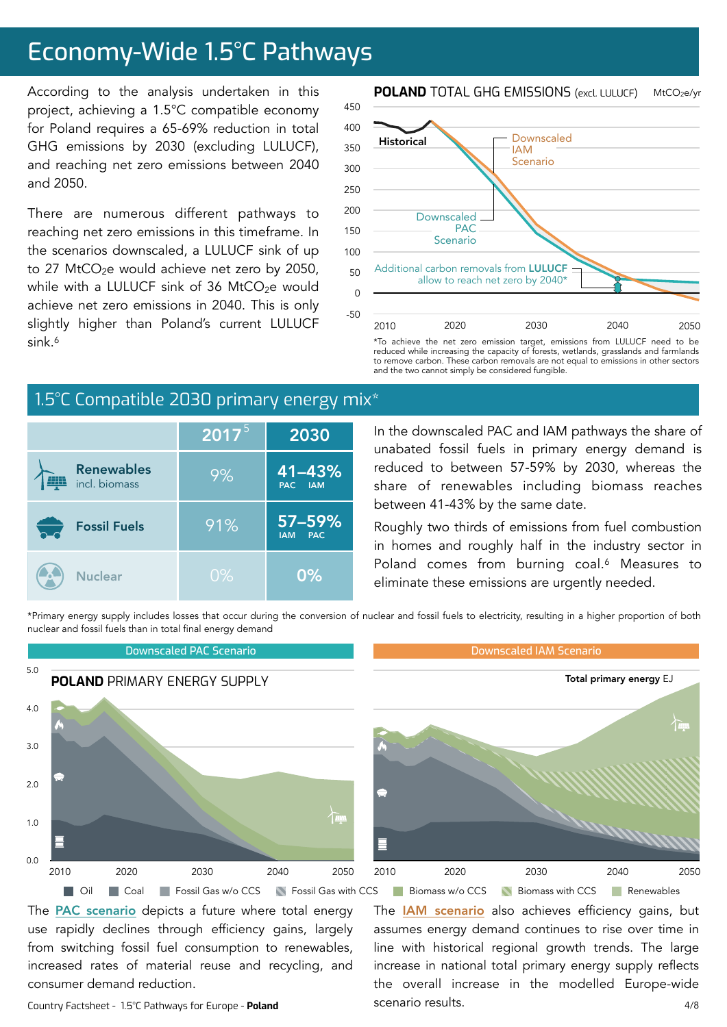## Economy-Wide 1.5°C Pathways

According to the analysis undertaken in this project, achieving a 1.5°C compatible economy for Poland requires a 65-69% reduction in total GHG emissions by 2030 (excluding LULUCF), and reaching net zero emissions between 2040 and 2050.

There are numerous different pathways to reaching net zero emissions in this timeframe. In the scenarios downscaled, a LULUCF sink of up to 27 MtCO<sub>2</sub>e would achieve net zero by 2050, while with a LULUCF sink of 36 MtCO $2e$  would achieve net zero emissions in 2040. This is only slightly higher than Poland's current LULUCF sink.6

#### **POLAND** TOTAL GHG EMISSIONS (excl. LULUCF) MtCO2e/yr



\*To achieve the net zero emission target, emissions from LULUCF need to be reduced while increasing the capacity of forests, wetlands, grasslands and farmlands to remove carbon. These carbon removals are not equal to emissions in other sectors and the two cannot simply be considered fungible.

### 1.5°C Compatible 2030 primary energy mix<sup>\*</sup>

|                                    | $\overline{{\mathbf 1}}$ 2017 $^{\scriptscriptstyle 5}$ | 2030                                   |
|------------------------------------|---------------------------------------------------------|----------------------------------------|
| <b>Renewables</b><br>incl. biomass | 9%                                                      | 41-43%<br>PAC IAM                      |
| <b>Fossil Fuels</b>                | 91%                                                     | $57 - 59%$<br><b>PAC</b><br><b>IAM</b> |
| <b>Nuclear</b>                     | $0\%$                                                   | 0%                                     |

In the downscaled PAC and IAM pathways the share of unabated fossil fuels in primary energy demand is reduced to between 57-59% by 2030, whereas the share of renewables including biomass reaches between 41-43% by the same date.

Roughly two thirds of emissions from fuel combustion in homes and roughly half in the industry sector in Poland comes from burning coal.<sup>6</sup> Measures to eliminate these emissions are urgently needed.

The **[IAM scenario](https://www.pik-potsdam.de/en/institute/departments/transformation-pathways/models/remind/remind16_description_2015_11_30_final#:~:text=REMIND%20is%20a%20global%20energy,inter-temporal%20welfare%20is%20maximized.&text=Macro-economic%20production%20factors%20are,,%20labor,%20and%20final%20energy.)** also achieves efficiency gains, but assumes energy demand continues to rise over time in line with historical regional growth trends. The large increase in national total primary energy supply reflects the overall increase in the modelled Europe-wide

\*Primary energy supply includes losses that occur during the conversion of nuclear and fossil fuels to electricity, resulting in a higher proportion of both nuclear and fossil fuels than in total final energy demand



scenario results.

The **PAC** scenario depicts a future where total energy use rapidly declines through efficiency gains, largely from switching fossil fuel consumption to renewables, increased rates of material reuse and recycling, and consumer demand reduction.

Country Factsheet - 1.5°C Pathways for Europe - **Poland**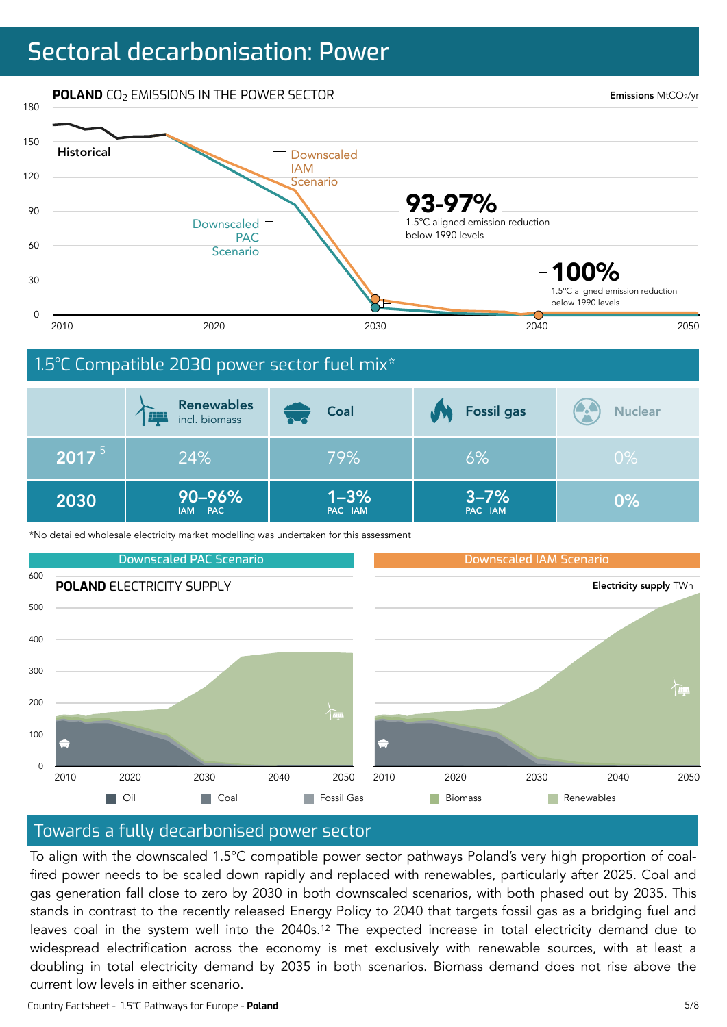## Sectoral decarbonisation: Power



\*No detailed wholesale electricity market modelling was undertaken for this assessment

 $PAC$ 



PAC IAM

PAC IAM

### Towards a fully decarbonised power sector

To align with the downscaled 1.5°C compatible power sector pathways Poland's very high proportion of coalfired power needs to be scaled down rapidly and replaced with renewables, particularly after 2025. Coal and gas generation fall close to zero by 2030 in both downscaled scenarios, with both phased out by 2035. This stands in contrast to the recently released Energy Policy to 2040 that targets fossil gas as a bridging fuel and leaves coal in the system well into the 2040s.<sup>12</sup> The expected increase in total electricity demand due to widespread electrification across the economy is met exclusively with renewable sources, with at least a doubling in total electricity demand by 2035 in both scenarios. Biomass demand does not rise above the current low levels in either scenario.

Country Factsheet - 1.5°C Pathways for Europe - **Poland**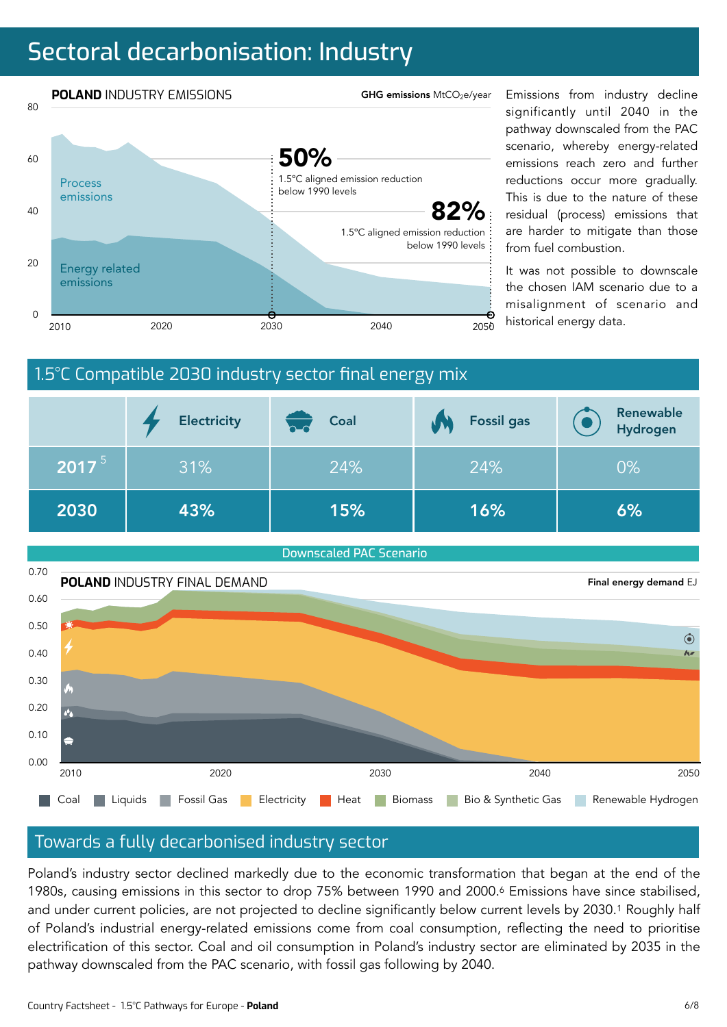## Sectoral decarbonisation: Industry



significantly until 2040 in the pathway downscaled from the PAC scenario, whereby energy-related emissions reach zero and further reductions occur more gradually. This is due to the nature of these residual (process) emissions that are harder to mitigate than those from fuel combustion.

It was not possible to downscale the chosen IAM scenario due to a misalignment of scenario and





### Towards a fully decarbonised industry sector

Poland's industry sector declined markedly due to the economic transformation that began at the end of the 1980s, causing emissions in this sector to drop 75% between 1990 and 2000.<sup>6</sup> Emissions have since stabilised, and under current policies, are not projected to decline significantly below current levels by 2030.<sup>1</sup> Roughly half of Poland's industrial energy-related emissions come from coal consumption, reflecting the need to prioritise electrification of this sector. Coal and oil consumption in Poland's industry sector are eliminated by 2035 in the pathway downscaled from the PAC scenario, with fossil gas following by 2040.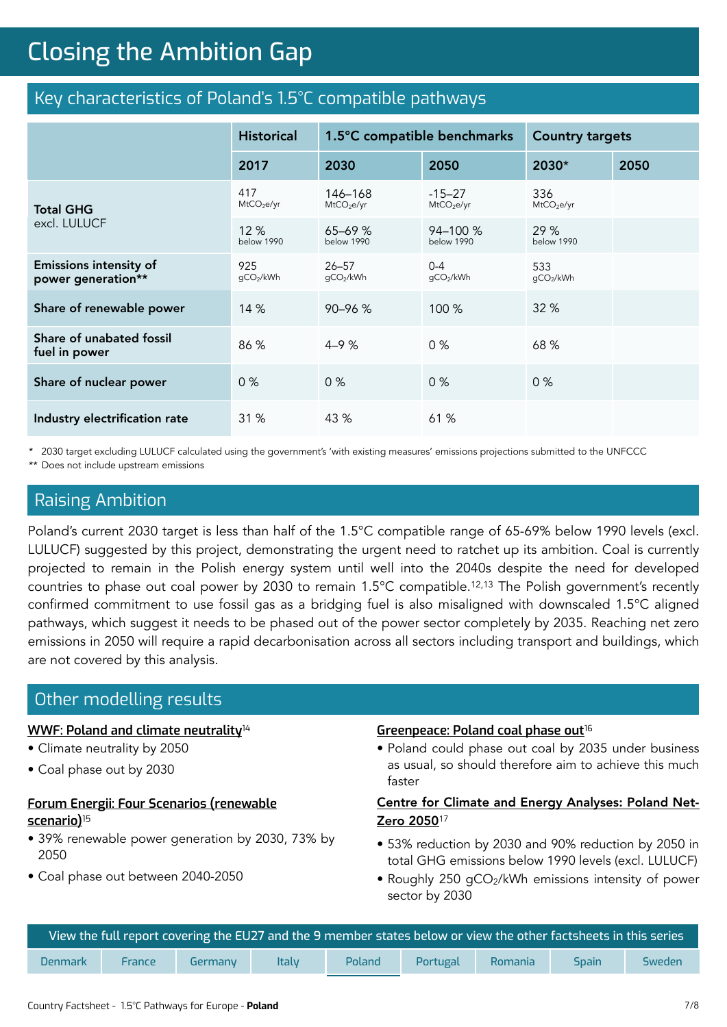## **Closing the Ambition Gap** Closing the Ambition Gap

### Key characteristics of Poland's 1.5°C compatible pathways

|                                                     | <b>Historical</b>             | 1.5°C compatible benchmarks       |                                    | <b>Country targets</b>        |      |
|-----------------------------------------------------|-------------------------------|-----------------------------------|------------------------------------|-------------------------------|------|
|                                                     | 2017                          | 2030                              | 2050                               | 2030*                         | 2050 |
| <b>Total GHG</b><br>excl. LULUCF                    | 417<br>MtCO <sub>2</sub> e/yr | 146-168<br>MtCO <sub>2</sub> e/yr | $-15-27$<br>MtCO <sub>2</sub> e/yr | 336<br>MtCO <sub>2</sub> e/yr |      |
|                                                     | 12%<br><b>below 1990</b>      | $65 - 69%$<br><b>below 1990</b>   | $94 - 100%$<br>below 1990          | 29%<br><b>below 1990</b>      |      |
| <b>Emissions intensity of</b><br>power generation** | 925<br>gCO2/kWh               | $26 - 57$<br>gCO2/kWh             | $0 - 4$<br>gCO2/kWh                | 533<br>qCO2/kWh               |      |
| Share of renewable power                            | 14 %                          | $90 - 96 %$                       | 100 %                              | 32 %                          |      |
| Share of unabated fossil<br>fuel in power           | 86 %                          | $4 - 9%$                          | 0%                                 | 68 %                          |      |
| Share of nuclear power                              | 0%                            | $0\%$                             | 0%                                 | $0\%$                         |      |
| Industry electrification rate                       | 31 %                          | 43 %                              | 61 %                               |                               |      |

\* 2030 target excluding LULUCF calculated using the government's 'with existing measures' emissions projections submitted to the UNFCCC

\*\* Does not include upstream emissions

### Raising Ambition

Poland's current 2030 target is less than half of the 1.5°C compatible range of 65-69% below 1990 levels (excl. LULUCF) suggested by this project, demonstrating the urgent need to ratchet up its ambition. Coal is currently projected to remain in the Polish energy system until well into the 2040s despite the need for developed countries to phase out coal power by 2030 to remain 1.5°C compatible.12,13 The Polish government's recently confirmed commitment to use fossil gas as a bridging fuel is also misaligned with downscaled 1.5°C aligned pathways, which suggest it needs to be phased out of the power sector completely by 2035. Reaching net zero emissions in 2050 will require a rapid decarbonisation across all sectors including transport and buildings, which are not covered by this analysis.

### Other modelling results

### **[WWF: Poland and climate neutrality](https://wwfeu.awsassets.panda.org/downloads/poland_and_climate_neutrality_en_executive_summary_october_2020.pdf)**<sup>14</sup>

- Climate neutrality by 2050
- Coal phase out by 2030

### **[Forum Energii: Four Scenarios \(renewable](https://forum-energii.eu/en/analizy/polska-energetyka-2050-4-scenariusze)  [scenario\)](https://forum-energii.eu/en/analizy/polska-energetyka-2050-4-scenariusze)**<sup>15</sup>

- 39% renewable power generation by 2030, 73% by 2050
- Coal phase out between 2040-2050

#### **[Greenpeace: Poland coal phase out](https://www.greenpeace.org/static/planet4-poland-stateless/2020/08/d1d7c177-gp-pl-poland-could-phase-out-coal-by-2035-as-business-as-usual.speeding-up-needed.pdf)**<sup>16</sup>

• Poland could phase out coal by 2035 under business as usual, so should therefore aim to achieve this much faster

### Centre for Climate and Energy Analyses: Poland Net-Zero 2050<sup>17</sup>

- 53% reduction by 2030 and 90% reduction by 2050 in total GHG emissions below 1990 levels (excl. LULUCF)
- Roughly 250 gCO<sub>2</sub>/kWh emissions intensity of power sector by 2030

| , View the full report covering the EU27 and the 9 member states below or view the ot <u>her factsheets in this series l</u> |               |         |       |        |          |         |              |        |  |
|------------------------------------------------------------------------------------------------------------------------------|---------------|---------|-------|--------|----------|---------|--------------|--------|--|
| <b>Denmark</b>                                                                                                               | <b>France</b> | Germany | Italy | Poland | Portugal | Romania | <b>Spain</b> | Sweden |  |